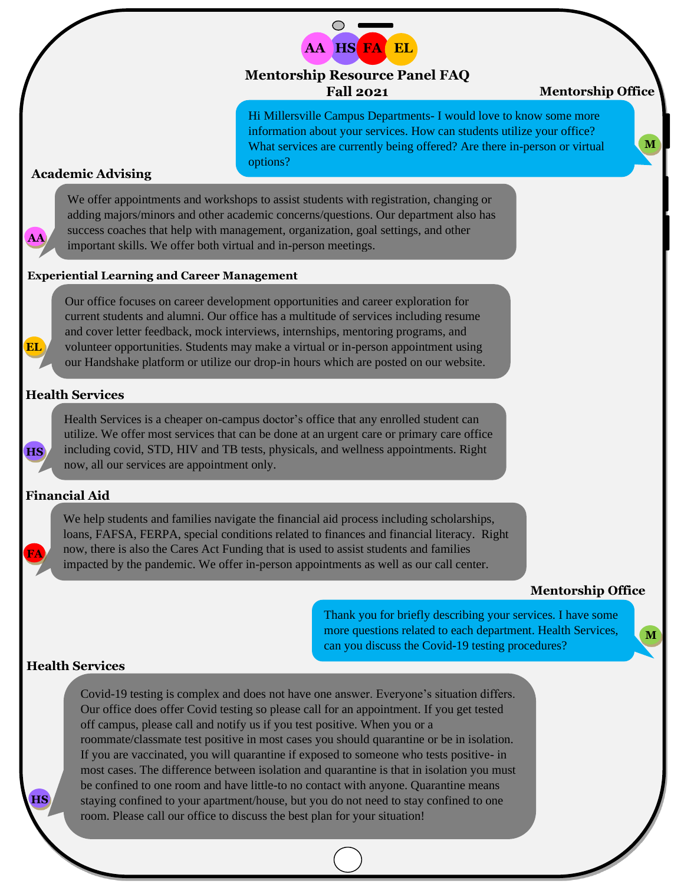

# **Mentorship Resource Panel FAQ Fall 2021**

## **Mentorship Office**

**M**

Hi Millersville Campus Departments- I would love to know some more information about your services. How can students utilize your office? What services are currently being offered? Are there in-person or virtual options?

### **Academic Advising**

**AA**

**EL**

**HS**

**FA**

**HS**

We offer appointments and workshops to assist students with registration, changing or adding majors/minors and other academic concerns/questions. Our department also has success coaches that help with management, organization, goal settings, and other important skills. We offer both virtual and in-person meetings.

## **Experiential Learning and Career Management**

Our office focuses on career development opportunities and career exploration for current students and alumni. Our office has a multitude of services including resume and cover letter feedback, mock interviews, internships, mentoring programs, and volunteer opportunities. Students may make a virtual or in-person appointment using our Handshake platform or utilize our drop-in hours which are posted on our website.

#### **Health Services**

Health Services is a cheaper on-campus doctor's office that any enrolled student can utilize. We offer most services that can be done at an urgent care or primary care office including covid, STD, HIV and TB tests, physicals, and wellness appointments. Right now, all our services are appointment only.

## **Financial Aid**

We help students and families navigate the financial aid process including scholarships, loans, FAFSA, FERPA, special conditions related to finances and financial literacy. Right now, there is also the Cares Act Funding that is used to assist students and families impacted by the pandemic. We offer in-person appointments as well as our call center.

#### **Mentorship Office**

**M**

Thank you for briefly describing your services. I have some more questions related to each department. Health Services, can you discuss the Covid-19 testing procedures?

## **Health Services**

Covid-19 testing is complex and does not have one answer. Everyone's situation differs. Our office does offer Covid testing so please call for an appointment. If you get tested off campus, please call and notify us if you test positive. When you or a roommate/classmate test positive in most cases you should quarantine or be in isolation. If you are vaccinated, you will quarantine if exposed to someone who tests positive- in most cases. The difference between isolation and quarantine is that in isolation you must be confined to one room and have little-to no contact with anyone. Quarantine means staying confined to your apartment/house, but you do not need to stay confined to one room. Please call our office to discuss the best plan for your situation!